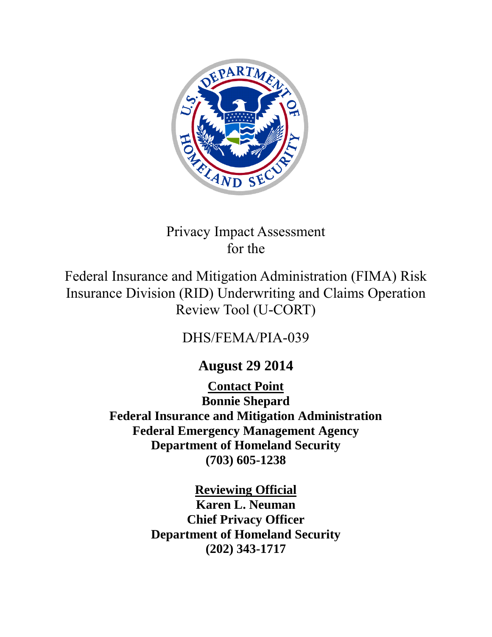

# Privacy Impact Assessment for the

Federal Insurance and Mitigation Administration (FIMA) Risk Insurance Division (RID) Underwriting and Claims Operation Review Tool (U-CORT)

# DHS/FEMA/PIA-039

# **August 29 2014**

**Contact Point Bonnie Shepard Federal Insurance and Mitigation Administration Federal Emergency Management Agency Department of Homeland Security (703) 605-1238**

> **Reviewing Official Karen L. Neuman**

**Chief Privacy Officer Department of Homeland Security (202) 343-1717**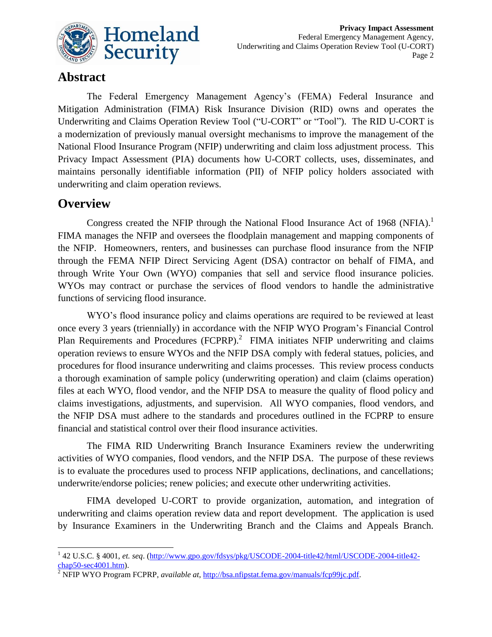

#### **Abstract**

The Federal Emergency Management Agency's (FEMA) Federal Insurance and Mitigation Administration (FIMA) Risk Insurance Division (RID) owns and operates the Underwriting and Claims Operation Review Tool ("U-CORT" or "Tool"). The RID U-CORT is a modernization of previously manual oversight mechanisms to improve the management of the National Flood Insurance Program (NFIP) underwriting and claim loss adjustment process. This Privacy Impact Assessment (PIA) documents how U-CORT collects, uses, disseminates, and maintains personally identifiable information (PII) of NFIP policy holders associated with underwriting and claim operation reviews.

#### **Overview**

Congress created the NFIP through the National Flood Insurance Act of 1968 (NFIA).<sup>1</sup> FIMA manages the NFIP and oversees the floodplain management and mapping components of the NFIP. Homeowners, renters, and businesses can purchase flood insurance from the NFIP through the FEMA NFIP Direct Servicing Agent (DSA) contractor on behalf of FIMA, and through Write Your Own (WYO) companies that sell and service flood insurance policies. WYOs may contract or purchase the services of flood vendors to handle the administrative functions of servicing flood insurance.

WYO's flood insurance policy and claims operations are required to be reviewed at least once every 3 years (triennially) in accordance with the NFIP WYO Program's Financial Control Plan Requirements and Procedures (FCPRP).<sup>2</sup> FIMA initiates NFIP underwriting and claims operation reviews to ensure WYOs and the NFIP DSA comply with federal statues, policies, and procedures for flood insurance underwriting and claims processes. This review process conducts a thorough examination of sample policy (underwriting operation) and claim (claims operation) files at each WYO, flood vendor, and the NFIP DSA to measure the quality of flood policy and claims investigations, adjustments, and supervision. All WYO companies, flood vendors, and the NFIP DSA must adhere to the standards and procedures outlined in the FCPRP to ensure financial and statistical control over their flood insurance activities.

The FIMA RID Underwriting Branch Insurance Examiners review the underwriting activities of WYO companies, flood vendors, and the NFIP DSA. The purpose of these reviews is to evaluate the procedures used to process NFIP applications, declinations, and cancellations; underwrite/endorse policies; renew policies; and execute other underwriting activities.

FIMA developed U-CORT to provide organization, automation, and integration of underwriting and claims operation review data and report development. The application is used by Insurance Examiners in the Underwriting Branch and the Claims and Appeals Branch.

 1 42 U.S.C. § 4001, *et. seq*. [\(http://www.gpo.gov/fdsys/pkg/USCODE-2004-title42/html/USCODE-2004-title42](http://www.gpo.gov/fdsys/pkg/USCODE-2004-title42/html/USCODE-2004-title42-chap50-sec4001.htm)  $chap50-sec4001.htm$ .

<sup>2</sup> NFIP WYO Program FCPRP, *available at*, [http://bsa.nfipstat.fema.gov/manuals/fcp99jc.pdf.](http://bsa.nfipstat.fema.gov/manuals/fcp99jc.pdf)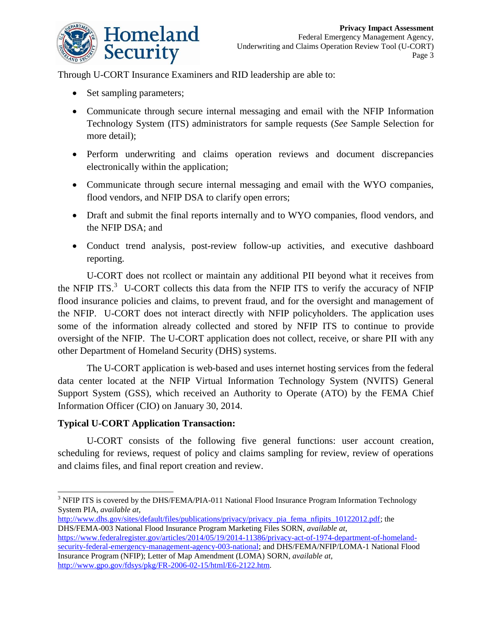

Through U-CORT Insurance Examiners and RID leadership are able to:

- Set sampling parameters;
- Communicate through secure internal messaging and email with the NFIP Information Technology System (ITS) administrators for sample requests (*See* Sample Selection for more detail);
- Perform underwriting and claims operation reviews and document discrepancies electronically within the application;
- Communicate through secure internal messaging and email with the WYO companies, flood vendors, and NFIP DSA to clarify open errors;
- Draft and submit the final reports internally and to WYO companies, flood vendors, and the NFIP DSA; and
- Conduct trend analysis, post-review follow-up activities, and executive dashboard reporting.

U-CORT does not rcollect or maintain any additional PII beyond what it receives from the NFIP ITS. $3$  U-CORT collects this data from the NFIP ITS to verify the accuracy of NFIP flood insurance policies and claims, to prevent fraud, and for the oversight and management of the NFIP. U-CORT does not interact directly with NFIP policyholders. The application uses some of the information already collected and stored by NFIP ITS to continue to provide oversight of the NFIP. The U-CORT application does not collect, receive, or share PII with any other Department of Homeland Security (DHS) systems.

The U-CORT application is web-based and uses internet hosting services from the federal data center located at the NFIP Virtual Information Technology System (NVITS) General Support System (GSS), which received an Authority to Operate (ATO) by the FEMA Chief Information Officer (CIO) on January 30, 2014.

#### **Typical U-CORT Application Transaction:**

l

U-CORT consists of the following five general functions: user account creation, scheduling for reviews, request of policy and claims sampling for review, review of operations and claims files, and final report creation and review.

- [http://www.dhs.gov/sites/default/files/publications/privacy/privacy\\_pia\\_fema\\_nfipits\\_10122012.pdf;](http://www.dhs.gov/sites/default/files/publications/privacy/privacy_pia_fema_nfipits_10122012.pdf) the DHS/FEMA-003 National Flood Insurance Program Marketing Files SORN, *available at*,
- [https://www.federalregister.gov/articles/2014/05/19/2014-11386/privacy-act-of-1974-department-of-homeland](https://www.federalregister.gov/articles/2014/05/19/2014-11386/privacy-act-of-1974-department-of-homeland-security-federal-emergency-management-agency-003-national)[security-federal-emergency-management-agency-003-national;](https://www.federalregister.gov/articles/2014/05/19/2014-11386/privacy-act-of-1974-department-of-homeland-security-federal-emergency-management-agency-003-national) and DHS/FEMA/NFIP/LOMA-1 National Flood Insurance Program (NFIP); Letter of Map Amendment (LOMA) SORN, *available at*, [http://www.gpo.gov/fdsys/pkg/FR-2006-02-15/html/E6-2122.htm.](http://www.gpo.gov/fdsys/pkg/FR-2006-02-15/html/E6-2122.htm)

<sup>&</sup>lt;sup>3</sup> NFIP ITS is covered by the DHS/FEMA/PIA-011 National Flood Insurance Program Information Technology System PIA, *available at*,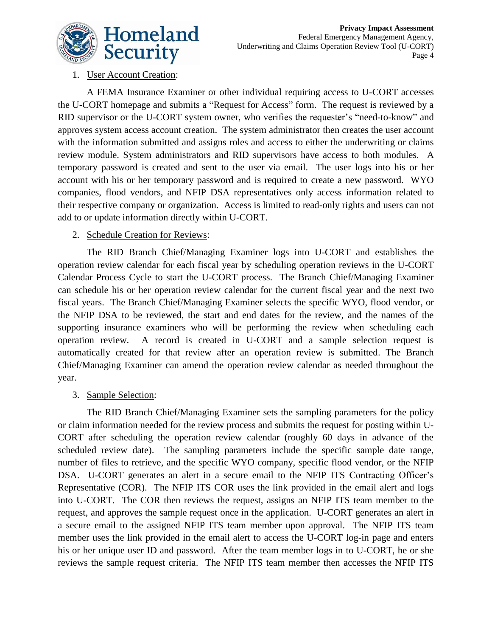

#### 1. User Account Creation:

A FEMA Insurance Examiner or other individual requiring access to U-CORT accesses the U-CORT homepage and submits a "Request for Access" form. The request is reviewed by a RID supervisor or the U-CORT system owner, who verifies the requester's "need-to-know" and approves system access account creation. The system administrator then creates the user account with the information submitted and assigns roles and access to either the underwriting or claims review module. System administrators and RID supervisors have access to both modules. A temporary password is created and sent to the user via email. The user logs into his or her account with his or her temporary password and is required to create a new password. WYO companies, flood vendors, and NFIP DSA representatives only access information related to their respective company or organization. Access is limited to read-only rights and users can not add to or update information directly within U-CORT.

#### 2. Schedule Creation for Reviews:

The RID Branch Chief/Managing Examiner logs into U-CORT and establishes the operation review calendar for each fiscal year by scheduling operation reviews in the U-CORT Calendar Process Cycle to start the U-CORT process. The Branch Chief/Managing Examiner can schedule his or her operation review calendar for the current fiscal year and the next two fiscal years. The Branch Chief/Managing Examiner selects the specific WYO, flood vendor, or the NFIP DSA to be reviewed, the start and end dates for the review, and the names of the supporting insurance examiners who will be performing the review when scheduling each operation review. A record is created in U-CORT and a sample selection request is automatically created for that review after an operation review is submitted. The Branch Chief/Managing Examiner can amend the operation review calendar as needed throughout the year.

#### 3. Sample Selection:

The RID Branch Chief/Managing Examiner sets the sampling parameters for the policy or claim information needed for the review process and submits the request for posting within U-CORT after scheduling the operation review calendar (roughly 60 days in advance of the scheduled review date). The sampling parameters include the specific sample date range, number of files to retrieve, and the specific WYO company, specific flood vendor, or the NFIP DSA. U-CORT generates an alert in a secure email to the NFIP ITS Contracting Officer's Representative (COR). The NFIP ITS COR uses the link provided in the email alert and logs into U-CORT. The COR then reviews the request, assigns an NFIP ITS team member to the request, and approves the sample request once in the application. U-CORT generates an alert in a secure email to the assigned NFIP ITS team member upon approval. The NFIP ITS team member uses the link provided in the email alert to access the U-CORT log-in page and enters his or her unique user ID and password. After the team member logs in to U-CORT, he or she reviews the sample request criteria. The NFIP ITS team member then accesses the NFIP ITS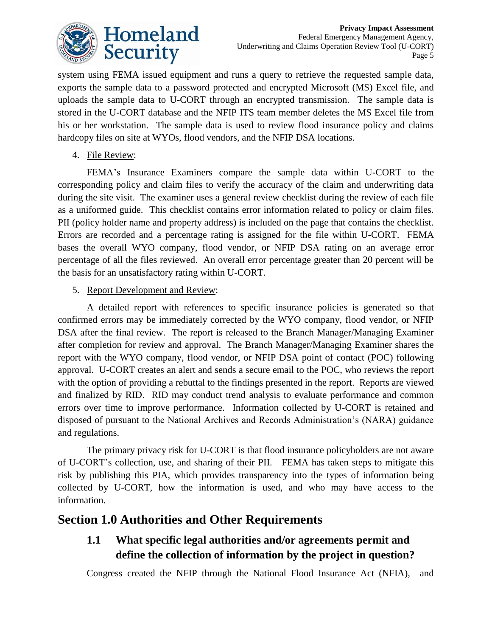

system using FEMA issued equipment and runs a query to retrieve the requested sample data, exports the sample data to a password protected and encrypted Microsoft (MS) Excel file, and uploads the sample data to U-CORT through an encrypted transmission. The sample data is stored in the U-CORT database and the NFIP ITS team member deletes the MS Excel file from his or her workstation. The sample data is used to review flood insurance policy and claims hardcopy files on site at WYOs, flood vendors, and the NFIP DSA locations.

4. File Review:

FEMA's Insurance Examiners compare the sample data within U-CORT to the corresponding policy and claim files to verify the accuracy of the claim and underwriting data during the site visit. The examiner uses a general review checklist during the review of each file as a uniformed guide. This checklist contains error information related to policy or claim files. PII (policy holder name and property address) is included on the page that contains the checklist. Errors are recorded and a percentage rating is assigned for the file within U-CORT. FEMA bases the overall WYO company, flood vendor, or NFIP DSA rating on an average error percentage of all the files reviewed. An overall error percentage greater than 20 percent will be the basis for an unsatisfactory rating within U-CORT.

#### 5. Report Development and Review:

A detailed report with references to specific insurance policies is generated so that confirmed errors may be immediately corrected by the WYO company, flood vendor, or NFIP DSA after the final review. The report is released to the Branch Manager/Managing Examiner after completion for review and approval. The Branch Manager/Managing Examiner shares the report with the WYO company, flood vendor, or NFIP DSA point of contact (POC) following approval. U-CORT creates an alert and sends a secure email to the POC, who reviews the report with the option of providing a rebuttal to the findings presented in the report. Reports are viewed and finalized by RID. RID may conduct trend analysis to evaluate performance and common errors over time to improve performance. Information collected by U-CORT is retained and disposed of pursuant to the National Archives and Records Administration's (NARA) guidance and regulations.

The primary privacy risk for U-CORT is that flood insurance policyholders are not aware of U-CORT's collection, use, and sharing of their PII. FEMA has taken steps to mitigate this risk by publishing this PIA, which provides transparency into the types of information being collected by U-CORT, how the information is used, and who may have access to the information.

#### **Section 1.0 Authorities and Other Requirements**

#### **1.1 What specific legal authorities and/or agreements permit and define the collection of information by the project in question?**

Congress created the NFIP through the National Flood Insurance Act (NFIA), and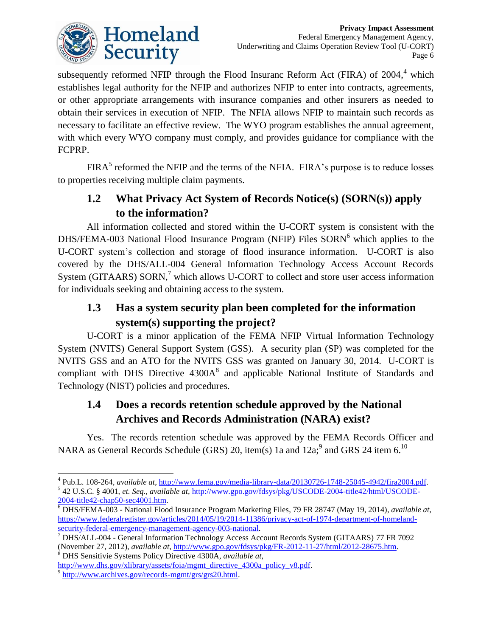

subsequently reformed NFIP through the Flood Insuranc Reform Act (FIRA) of  $2004$ ,<sup>4</sup> which establishes legal authority for the NFIP and authorizes NFIP to enter into contracts, agreements, or other appropriate arrangements with insurance companies and other insurers as needed to obtain their services in execution of NFIP. The NFIA allows NFIP to maintain such records as necessary to facilitate an effective review. The WYO program establishes the annual agreement, with which every WYO company must comply, and provides guidance for compliance with the FCPRP.

 $FIRA<sup>5</sup>$  reformed the NFIP and the terms of the NFIA. FIRA's purpose is to reduce losses to properties receiving multiple claim payments.

### **1.2 What Privacy Act System of Records Notice(s) (SORN(s)) apply to the information?**

All information collected and stored within the U-CORT system is consistent with the DHS/FEMA-003 National Flood Insurance Program (NFIP) Files  $SORN<sup>6</sup>$  which applies to the U-CORT system's collection and storage of flood insurance information. U-CORT is also covered by the DHS/ALL-004 General Information Technology Access Account Records System (GITAARS) SORN, $<sup>7</sup>$  which allows U-CORT to collect and store user access information</sup> for individuals seeking and obtaining access to the system.

### **1.3 Has a system security plan been completed for the information system(s) supporting the project?**

U-CORT is a minor application of the FEMA NFIP Virtual Information Technology System (NVITS) General Support System (GSS). A security plan (SP) was completed for the NVITS GSS and an ATO for the NVITS GSS was granted on January 30, 2014. U-CORT is compliant with DHS Directive  $4300A<sup>8</sup>$  and applicable National Institute of Standards and Technology (NIST) policies and procedures.

#### **1.4 Does a records retention schedule approved by the National Archives and Records Administration (NARA) exist?**

Yes. The records retention schedule was approved by the FEMA Records Officer and NARA as General Records Schedule (GRS) 20, item(s) 1a and 12a;<sup>9</sup> and GRS 24 item 6.<sup>10</sup>

<sup>8</sup> DHS Sensitivie Systems Policy Directive 4300A, *available at*,

 $\overline{a}$ 4 Pub.L. 108-264, *available at*[, http://www.fema.gov/media-library-data/20130726-1748-25045-4942/fira2004.pdf.](http://www.fema.gov/media-library-data/20130726-1748-25045-4942/fira2004.pdf) 5 42 U.S.C. § 4001, *et. Seq., available at,* [http://www.gpo.gov/fdsys/pkg/USCODE-2004-title42/html/USCODE-](http://www.gpo.gov/fdsys/pkg/USCODE-2004-title42/html/USCODE-2004-title42-chap50-sec4001.htm)[2004-title42-chap50-sec4001.htm.](http://www.gpo.gov/fdsys/pkg/USCODE-2004-title42/html/USCODE-2004-title42-chap50-sec4001.htm)

<sup>6</sup> DHS/FEMA-003 - National Flood Insurance Program Marketing Files, 79 FR 28747 (May 19, 2014), *available at*, [https://www.federalregister.gov/articles/2014/05/19/2014-11386/privacy-act-of-1974-department-of-homeland](https://www.federalregister.gov/articles/2014/05/19/2014-11386/privacy-act-of-1974-department-of-homeland-security-federal-emergency-management-agency-003-national)[security-federal-emergency-management-agency-003-national.](https://www.federalregister.gov/articles/2014/05/19/2014-11386/privacy-act-of-1974-department-of-homeland-security-federal-emergency-management-agency-003-national)

<sup>7</sup> DHS/ALL-004 - General Information Technology Access Account Records System (GITAARS) 77 FR 7092 (November 27, 2012), *available at*, [http://www.gpo.gov/fdsys/pkg/FR-2012-11-27/html/2012-28675.htm.](http://www.gpo.gov/fdsys/pkg/FR-2012-11-27/html/2012-28675.htm)

[http://www.dhs.gov/xlibrary/assets/foia/mgmt\\_directive\\_4300a\\_policy\\_v8.pdf.](http://www.dhs.gov/xlibrary/assets/foia/mgmt_directive_4300a_policy_v8.pdf)

<sup>&</sup>lt;sup>9</sup> [http://www.archives.gov/records-mgmt/grs/grs20.html.](http://www.archives.gov/records-mgmt/grs/grs20.html)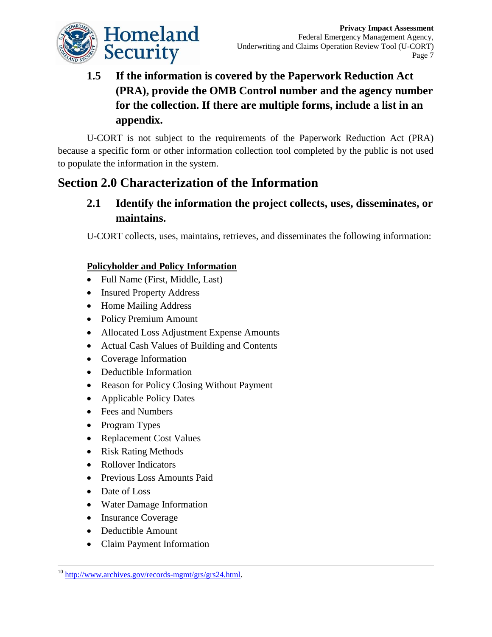

# **1.5 If the information is covered by the Paperwork Reduction Act (PRA), provide the OMB Control number and the agency number for the collection. If there are multiple forms, include a list in an appendix.**

U-CORT is not subject to the requirements of the Paperwork Reduction Act (PRA) because a specific form or other information collection tool completed by the public is not used to populate the information in the system.

# **Section 2.0 Characterization of the Information**

#### **2.1 Identify the information the project collects, uses, disseminates, or maintains.**

U-CORT collects, uses, maintains, retrieves, and disseminates the following information:

#### **Policyholder and Policy Information**

- Full Name (First, Middle, Last)
- Insured Property Address
- Home Mailing Address
- Policy Premium Amount
- Allocated Loss Adjustment Expense Amounts
- Actual Cash Values of Building and Contents
- Coverage Information
- Deductible Information
- Reason for Policy Closing Without Payment
- Applicable Policy Dates
- Fees and Numbers
- Program Types
- Replacement Cost Values
- Risk Rating Methods
- Rollover Indicators
- Previous Loss Amounts Paid
- Date of Loss

l

- Water Damage Information
- Insurance Coverage
- Deductible Amount
- Claim Payment Information

<sup>10</sup> [http://www.archives.gov/records-mgmt/grs/grs24.html.](http://www.archives.gov/records-mgmt/grs/grs24.html)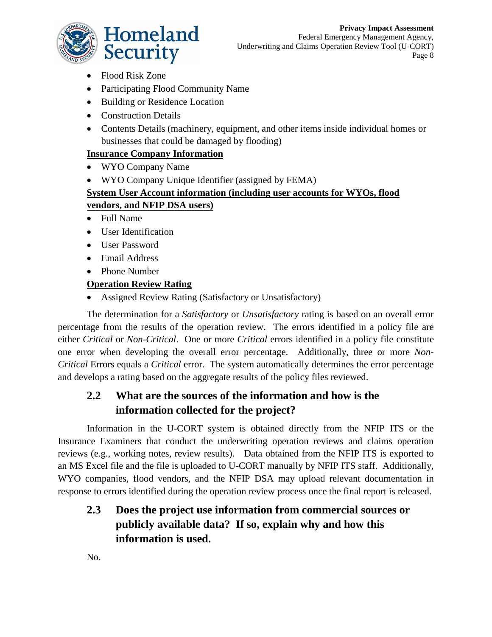

Federal Emergency Management Agency, Underwriting and Claims Operation Review Tool (U-CORT) Page 8

- Flood Risk Zone
- Participating Flood Community Name
- Building or Residence Location
- Construction Details
- Contents Details (machinery, equipment, and other items inside individual homes or businesses that could be damaged by flooding)

#### **Insurance Company Information**

- WYO Company Name
- WYO Company Unique Identifier (assigned by FEMA)

#### **System User Account information (including user accounts for WYOs, flood vendors, and NFIP DSA users)**

- Full Name
- User Identification
- User Password
- Email Address
- Phone Number

#### **Operation Review Rating**

Assigned Review Rating (Satisfactory or Unsatisfactory)

The determination for a *Satisfactory* or *Unsatisfactory* rating is based on an overall error percentage from the results of the operation review. The errors identified in a policy file are either *Critical* or *Non-Critical*. One or more *Critical* errors identified in a policy file constitute one error when developing the overall error percentage. Additionally, three or more *Non-Critical* Errors equals a *Critical* error. The system automatically determines the error percentage and develops a rating based on the aggregate results of the policy files reviewed.

#### **2.2 What are the sources of the information and how is the information collected for the project?**

Information in the U-CORT system is obtained directly from the NFIP ITS or the Insurance Examiners that conduct the underwriting operation reviews and claims operation reviews (e.g., working notes, review results). Data obtained from the NFIP ITS is exported to an MS Excel file and the file is uploaded to U-CORT manually by NFIP ITS staff. Additionally, WYO companies, flood vendors, and the NFIP DSA may upload relevant documentation in response to errors identified during the operation review process once the final report is released.

### **2.3 Does the project use information from commercial sources or publicly available data? If so, explain why and how this information is used.**

No.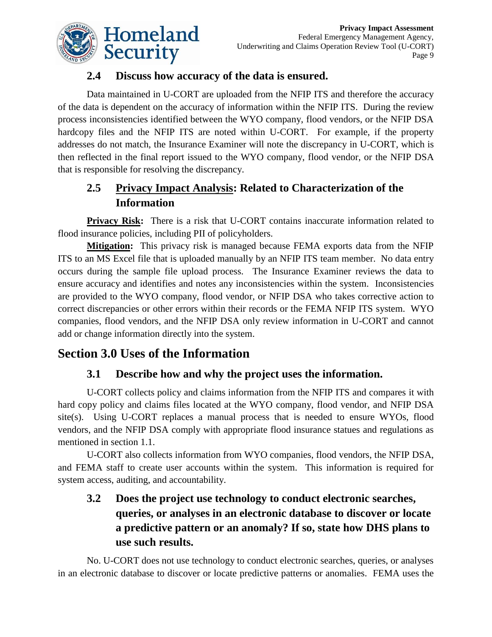

#### **2.4 Discuss how accuracy of the data is ensured.**

Data maintained in U-CORT are uploaded from the NFIP ITS and therefore the accuracy of the data is dependent on the accuracy of information within the NFIP ITS. During the review process inconsistencies identified between the WYO company, flood vendors, or the NFIP DSA hardcopy files and the NFIP ITS are noted within U-CORT. For example, if the property addresses do not match, the Insurance Examiner will note the discrepancy in U-CORT, which is then reflected in the final report issued to the WYO company, flood vendor, or the NFIP DSA that is responsible for resolving the discrepancy.

#### **2.5 Privacy Impact Analysis: Related to Characterization of the Information**

**Privacy Risk:** There is a risk that U-CORT contains inaccurate information related to flood insurance policies, including PII of policyholders.

**Mitigation:** This privacy risk is managed because FEMA exports data from the NFIP ITS to an MS Excel file that is uploaded manually by an NFIP ITS team member. No data entry occurs during the sample file upload process. The Insurance Examiner reviews the data to ensure accuracy and identifies and notes any inconsistencies within the system. Inconsistencies are provided to the WYO company, flood vendor, or NFIP DSA who takes corrective action to correct discrepancies or other errors within their records or the FEMA NFIP ITS system. WYO companies, flood vendors, and the NFIP DSA only review information in U-CORT and cannot add or change information directly into the system.

# **Section 3.0 Uses of the Information**

#### **3.1 Describe how and why the project uses the information.**

U-CORT collects policy and claims information from the NFIP ITS and compares it with hard copy policy and claims files located at the WYO company, flood vendor, and NFIP DSA site(s). Using U-CORT replaces a manual process that is needed to ensure WYOs, flood vendors, and the NFIP DSA comply with appropriate flood insurance statues and regulations as mentioned in section 1.1.

U-CORT also collects information from WYO companies, flood vendors, the NFIP DSA, and FEMA staff to create user accounts within the system. This information is required for system access, auditing, and accountability.

### **3.2 Does the project use technology to conduct electronic searches, queries, or analyses in an electronic database to discover or locate a predictive pattern or an anomaly? If so, state how DHS plans to use such results.**

No. U-CORT does not use technology to conduct electronic searches, queries, or analyses in an electronic database to discover or locate predictive patterns or anomalies. FEMA uses the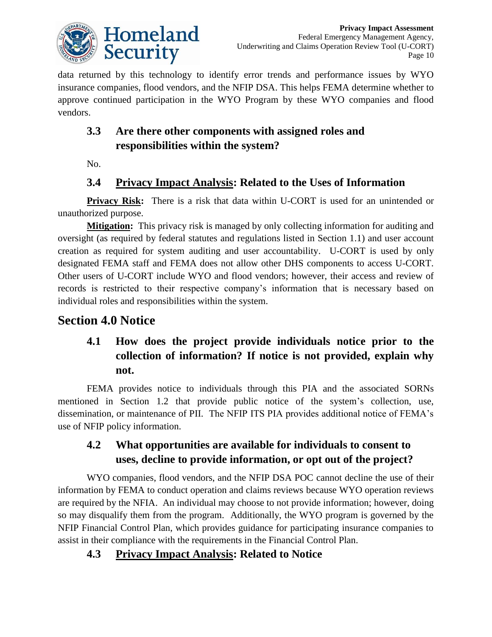

data returned by this technology to identify error trends and performance issues by WYO insurance companies, flood vendors, and the NFIP DSA. This helps FEMA determine whether to approve continued participation in the WYO Program by these WYO companies and flood vendors.

### **3.3 Are there other components with assigned roles and responsibilities within the system?**

No.

#### **3.4 Privacy Impact Analysis: Related to the Uses of Information**

**Privacy Risk:** There is a risk that data within U-CORT is used for an unintended or unauthorized purpose.

**Mitigation:** This privacy risk is managed by only collecting information for auditing and oversight (as required by federal statutes and regulations listed in Section 1.1) and user account creation as required for system auditing and user accountability. U-CORT is used by only designated FEMA staff and FEMA does not allow other DHS components to access U-CORT. Other users of U-CORT include WYO and flood vendors; however, their access and review of records is restricted to their respective company's information that is necessary based on individual roles and responsibilities within the system.

### **Section 4.0 Notice**

### **4.1 How does the project provide individuals notice prior to the collection of information? If notice is not provided, explain why not.**

FEMA provides notice to individuals through this PIA and the associated SORNs mentioned in Section 1.2 that provide public notice of the system's collection, use, dissemination, or maintenance of PII. The NFIP ITS PIA provides additional notice of FEMA's use of NFIP policy information.

#### **4.2 What opportunities are available for individuals to consent to uses, decline to provide information, or opt out of the project?**

WYO companies, flood vendors, and the NFIP DSA POC cannot decline the use of their information by FEMA to conduct operation and claims reviews because WYO operation reviews are required by the NFIA. An individual may choose to not provide information; however, doing so may disqualify them from the program. Additionally, the WYO program is governed by the NFIP Financial Control Plan, which provides guidance for participating insurance companies to assist in their compliance with the requirements in the Financial Control Plan.

#### **4.3 Privacy Impact Analysis: Related to Notice**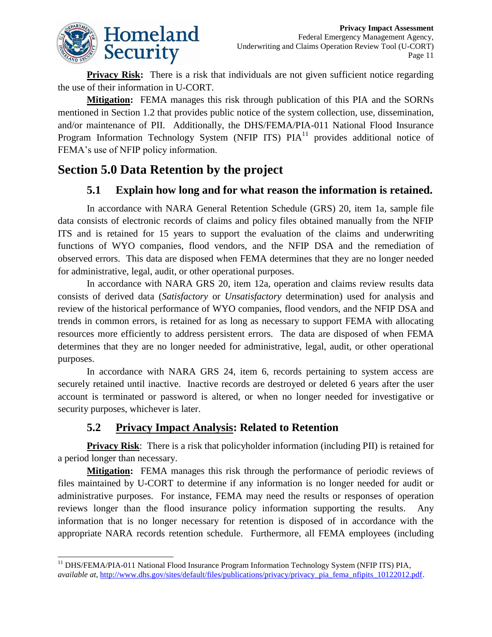

**Privacy Risk:** There is a risk that individuals are not given sufficient notice regarding the use of their information in U-CORT.

**Mitigation:** FEMA manages this risk through publication of this PIA and the SORNs mentioned in Section 1.2 that provides public notice of the system collection, use, dissemination, and/or maintenance of PII. Additionally, the DHS/FEMA/PIA-011 National Flood Insurance Program Information Technology System (NFIP ITS)  $PIA<sup>11</sup>$  provides additional notice of FEMA's use of NFIP policy information.

# **Section 5.0 Data Retention by the project**

#### **5.1 Explain how long and for what reason the information is retained.**

In accordance with NARA General Retention Schedule (GRS) 20, item 1a, sample file data consists of electronic records of claims and policy files obtained manually from the NFIP ITS and is retained for 15 years to support the evaluation of the claims and underwriting functions of WYO companies, flood vendors, and the NFIP DSA and the remediation of observed errors. This data are disposed when FEMA determines that they are no longer needed for administrative, legal, audit, or other operational purposes.

In accordance with NARA GRS 20, item 12a, operation and claims review results data consists of derived data (*Satisfactory* or *Unsatisfactory* determination) used for analysis and review of the historical performance of WYO companies, flood vendors, and the NFIP DSA and trends in common errors, is retained for as long as necessary to support FEMA with allocating resources more efficiently to address persistent errors. The data are disposed of when FEMA determines that they are no longer needed for administrative, legal, audit, or other operational purposes.

In accordance with NARA GRS 24, item 6, records pertaining to system access are securely retained until inactive. Inactive records are destroyed or deleted 6 years after the user account is terminated or password is altered, or when no longer needed for investigative or security purposes, whichever is later.

#### **5.2 Privacy Impact Analysis: Related to Retention**

**Privacy Risk**: There is a risk that policyholder information (including PII) is retained for a period longer than necessary.

**Mitigation:** FEMA manages this risk through the performance of periodic reviews of files maintained by U-CORT to determine if any information is no longer needed for audit or administrative purposes. For instance, FEMA may need the results or responses of operation reviews longer than the flood insurance policy information supporting the results. Any information that is no longer necessary for retention is disposed of in accordance with the appropriate NARA records retention schedule. Furthermore, all FEMA employees (including

 $\overline{a}$ <sup>11</sup> DHS/FEMA/PIA-011 National Flood Insurance Program Information Technology System (NFIP ITS) PIA, *available at*[, http://www.dhs.gov/sites/default/files/publications/privacy/privacy\\_pia\\_fema\\_nfipits\\_10122012.pdf.](http://www.dhs.gov/sites/default/files/publications/privacy/privacy_pia_fema_nfipits_10122012.pdf)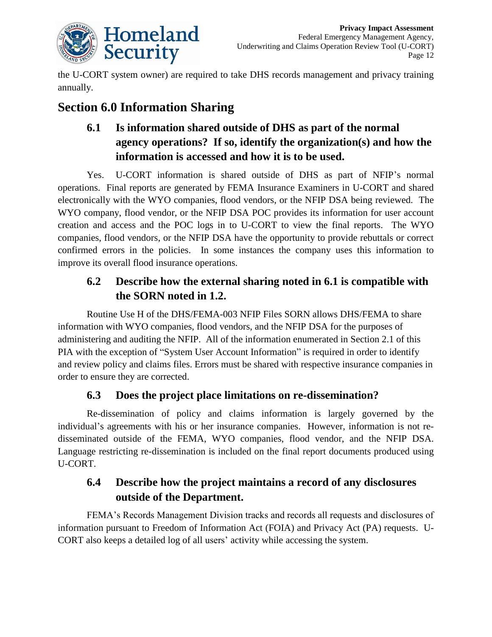

the U-CORT system owner) are required to take DHS records management and privacy training annually.

# **Section 6.0 Information Sharing**

# **6.1 Is information shared outside of DHS as part of the normal agency operations? If so, identify the organization(s) and how the information is accessed and how it is to be used.**

Yes. U-CORT information is shared outside of DHS as part of NFIP's normal operations. Final reports are generated by FEMA Insurance Examiners in U-CORT and shared electronically with the WYO companies, flood vendors, or the NFIP DSA being reviewed. The WYO company, flood vendor, or the NFIP DSA POC provides its information for user account creation and access and the POC logs in to U-CORT to view the final reports. The WYO companies, flood vendors, or the NFIP DSA have the opportunity to provide rebuttals or correct confirmed errors in the policies. In some instances the company uses this information to improve its overall flood insurance operations.

### **6.2 Describe how the external sharing noted in 6.1 is compatible with the SORN noted in 1.2.**

Routine Use H of the DHS/FEMA-003 NFIP Files SORN allows DHS/FEMA to share information with WYO companies, flood vendors, and the NFIP DSA for the purposes of administering and auditing the NFIP. All of the information enumerated in Section 2.1 of this PIA with the exception of "System User Account Information" is required in order to identify and review policy and claims files. Errors must be shared with respective insurance companies in order to ensure they are corrected.

#### **6.3 Does the project place limitations on re-dissemination?**

Re-dissemination of policy and claims information is largely governed by the individual's agreements with his or her insurance companies. However, information is not redisseminated outside of the FEMA, WYO companies, flood vendor, and the NFIP DSA. Language restricting re-dissemination is included on the final report documents produced using U-CORT.

### **6.4 Describe how the project maintains a record of any disclosures outside of the Department.**

FEMA's Records Management Division tracks and records all requests and disclosures of information pursuant to Freedom of Information Act (FOIA) and Privacy Act (PA) requests. U-CORT also keeps a detailed log of all users' activity while accessing the system.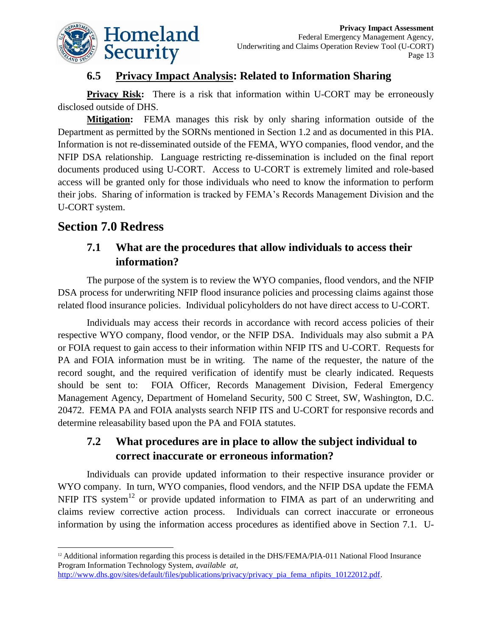

#### **6.5 Privacy Impact Analysis: Related to Information Sharing**

**Privacy Risk:** There is a risk that information within U-CORT may be erroneously disclosed outside of DHS.

**Mitigation:** FEMA manages this risk by only sharing information outside of the Department as permitted by the SORNs mentioned in Section 1.2 and as documented in this PIA. Information is not re-disseminated outside of the FEMA, WYO companies, flood vendor, and the NFIP DSA relationship. Language restricting re-dissemination is included on the final report documents produced using U-CORT. Access to U-CORT is extremely limited and role-based access will be granted only for those individuals who need to know the information to perform their jobs. Sharing of information is tracked by FEMA's Records Management Division and the U-CORT system.

#### **Section 7.0 Redress**

#### **7.1 What are the procedures that allow individuals to access their information?**

The purpose of the system is to review the WYO companies, flood vendors, and the NFIP DSA process for underwriting NFIP flood insurance policies and processing claims against those related flood insurance policies. Individual policyholders do not have direct access to U-CORT.

Individuals may access their records in accordance with record access policies of their respective WYO company, flood vendor, or the NFIP DSA. Individuals may also submit a PA or FOIA request to gain access to their information within NFIP ITS and U-CORT. Requests for PA and FOIA information must be in writing. The name of the requester, the nature of the record sought, and the required verification of identify must be clearly indicated. Requests should be sent to: FOIA Officer, Records Management Division, Federal Emergency Management Agency, Department of Homeland Security, 500 C Street, SW, Washington, D.C. 20472. FEMA PA and FOIA analysts search NFIP ITS and U-CORT for responsive records and determine releasability based upon the PA and FOIA statutes.

#### **7.2 What procedures are in place to allow the subject individual to correct inaccurate or erroneous information?**

Individuals can provide updated information to their respective insurance provider or WYO company. In turn, WYO companies, flood vendors, and the NFIP DSA update the FEMA NFIP ITS system $12$  or provide updated information to FIMA as part of an underwriting and claims review corrective action process. Individuals can correct inaccurate or erroneous information by using the information access procedures as identified above in Section 7.1. U-

l <sup>12</sup> Additional information regarding this process is detailed in the DHS/FEMA/PIA-011 National Flood Insurance Program Information Technology System, *available at*, [http://www.dhs.gov/sites/default/files/publications/privacy/privacy\\_pia\\_fema\\_nfipits\\_10122012.pdf.](http://www.dhs.gov/sites/default/files/publications/privacy/privacy_pia_fema_nfipits_10122012.pdf)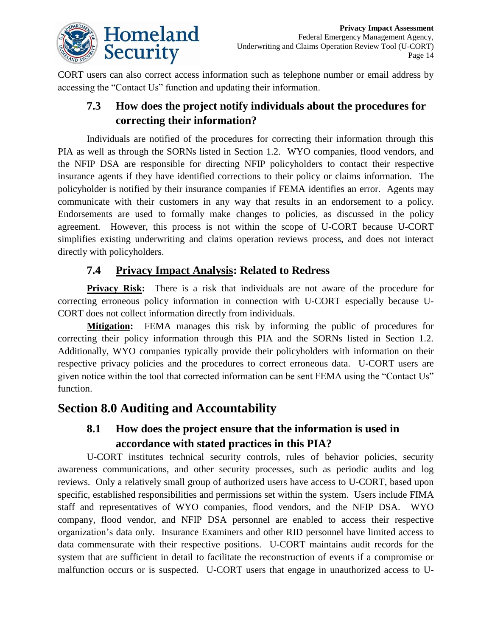

CORT users can also correct access information such as telephone number or email address by accessing the "Contact Us" function and updating their information.

#### **7.3 How does the project notify individuals about the procedures for correcting their information?**

Individuals are notified of the procedures for correcting their information through this PIA as well as through the SORNs listed in Section 1.2. WYO companies, flood vendors, and the NFIP DSA are responsible for directing NFIP policyholders to contact their respective insurance agents if they have identified corrections to their policy or claims information. The policyholder is notified by their insurance companies if FEMA identifies an error. Agents may communicate with their customers in any way that results in an endorsement to a policy. Endorsements are used to formally make changes to policies, as discussed in the policy agreement. However, this process is not within the scope of U-CORT because U-CORT simplifies existing underwriting and claims operation reviews process, and does not interact directly with policyholders.

#### **7.4 Privacy Impact Analysis: Related to Redress**

**Privacy Risk:** There is a risk that individuals are not aware of the procedure for correcting erroneous policy information in connection with U-CORT especially because U-CORT does not collect information directly from individuals.

**Mitigation:** FEMA manages this risk by informing the public of procedures for correcting their policy information through this PIA and the SORNs listed in Section 1.2. Additionally, WYO companies typically provide their policyholders with information on their respective privacy policies and the procedures to correct erroneous data. U-CORT users are given notice within the tool that corrected information can be sent FEMA using the "Contact Us" function.

# **Section 8.0 Auditing and Accountability**

#### **8.1 How does the project ensure that the information is used in accordance with stated practices in this PIA?**

U-CORT institutes technical security controls, rules of behavior policies, security awareness communications, and other security processes, such as periodic audits and log reviews. Only a relatively small group of authorized users have access to U-CORT, based upon specific, established responsibilities and permissions set within the system. Users include FIMA staff and representatives of WYO companies, flood vendors, and the NFIP DSA. WYO company, flood vendor, and NFIP DSA personnel are enabled to access their respective organization's data only. Insurance Examiners and other RID personnel have limited access to data commensurate with their respective positions. U-CORT maintains audit records for the system that are sufficient in detail to facilitate the reconstruction of events if a compromise or malfunction occurs or is suspected. U-CORT users that engage in unauthorized access to U-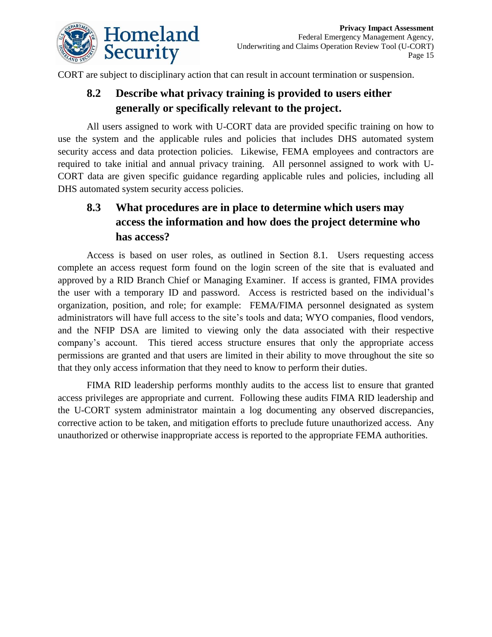

CORT are subject to disciplinary action that can result in account termination or suspension.

### **8.2 Describe what privacy training is provided to users either generally or specifically relevant to the project.**

All users assigned to work with U-CORT data are provided specific training on how to use the system and the applicable rules and policies that includes DHS automated system security access and data protection policies. Likewise, FEMA employees and contractors are required to take initial and annual privacy training. All personnel assigned to work with U-CORT data are given specific guidance regarding applicable rules and policies, including all DHS automated system security access policies.

### **8.3 What procedures are in place to determine which users may access the information and how does the project determine who has access?**

Access is based on user roles, as outlined in Section 8.1. Users requesting access complete an access request form found on the login screen of the site that is evaluated and approved by a RID Branch Chief or Managing Examiner. If access is granted, FIMA provides the user with a temporary ID and password. Access is restricted based on the individual's organization, position, and role; for example: FEMA/FIMA personnel designated as system administrators will have full access to the site's tools and data; WYO companies, flood vendors, and the NFIP DSA are limited to viewing only the data associated with their respective company's account. This tiered access structure ensures that only the appropriate access permissions are granted and that users are limited in their ability to move throughout the site so that they only access information that they need to know to perform their duties.

FIMA RID leadership performs monthly audits to the access list to ensure that granted access privileges are appropriate and current. Following these audits FIMA RID leadership and the U-CORT system administrator maintain a log documenting any observed discrepancies, corrective action to be taken, and mitigation efforts to preclude future unauthorized access. Any unauthorized or otherwise inappropriate access is reported to the appropriate FEMA authorities.